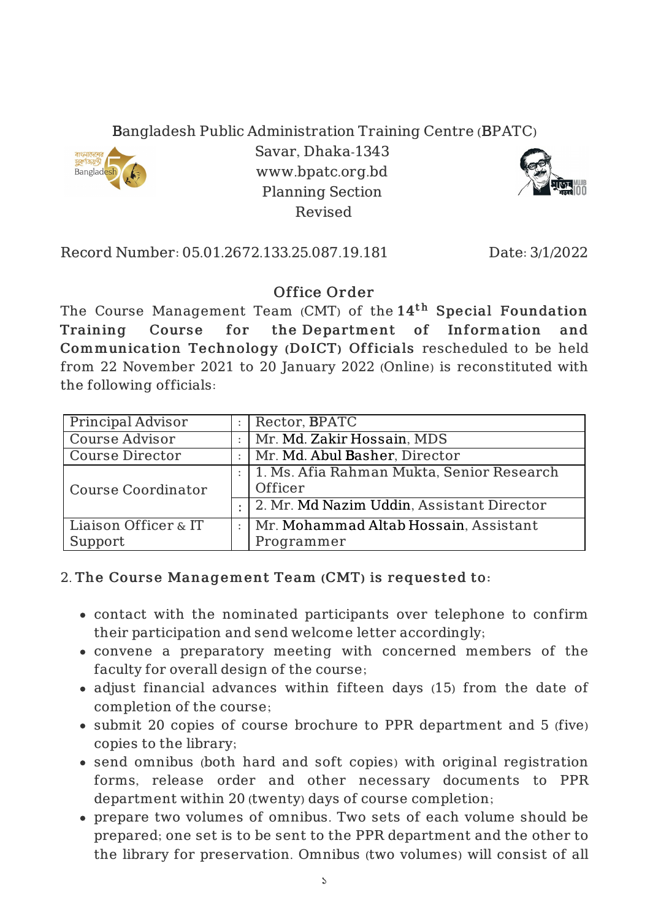Bangladesh Public Administration Training Centre (BPATC)



Savar, Dhaka-1343 www.bpatc.org.bd Planning Section Revised



Record Number: 05.01.2672.133.25.087.19.181 Date: 3/1/2022

## Office Order

The Course Management Team (CMT) of the  $14^{\rm th}$  Special Foundation Training Course for the Department of Information and Communication Technology (DoICT) Officials rescheduled to be held from 22 November 2021 to 20 January 2022 (Online) is reconstituted with the following officials:

| <b>Principal Advisor</b>  | Rector, BPATC                             |
|---------------------------|-------------------------------------------|
| Course Advisor            | Mr. Md. Zakir Hossain, MDS                |
| <b>Course Director</b>    | Mr. Md. Abul Basher, Director             |
| <b>Course Coordinator</b> | 1. Ms. Afia Rahman Mukta, Senior Research |
|                           | Officer                                   |
|                           | 2. Mr. Md Nazim Uddin, Assistant Director |
| Liaison Officer & IT      | Mr. Mohammad Altab Hossain, Assistant     |
| Support                   | Programmer                                |

## 2. The Course Management Team (CMT) is requested to:

- contact with the nominated participants over telephone to confirm their participation and send welcome letter accordingly;
- convene a preparatory meeting with concerned members of the faculty for overall design of the course;
- adjust financial advances within fifteen days (15) from the date of completion of the course;
- submit 20 copies of course brochure to PPR department and 5 (five) copies to the library;
- send omnibus (both hard and soft copies) with original registration forms, release order and other necessary documents to PPR department within 20 (twenty) days of course completion;
- prepare two volumes of omnibus. Two sets of each volume should be prepared; one set is to be sent to the PPR department and the other to the library for preservation. Omnibus (two volumes) will consist of all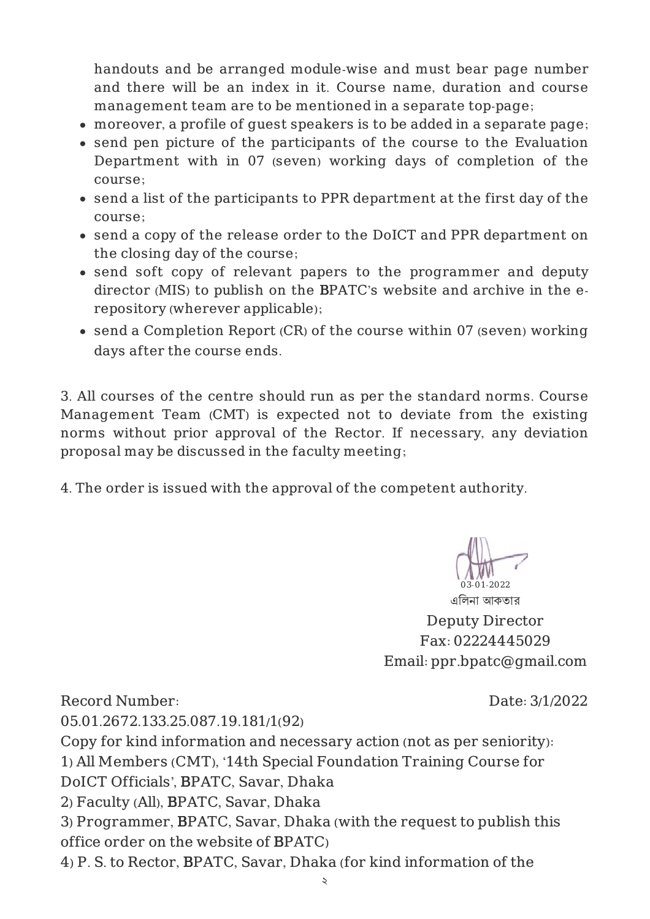handouts and be arranged module-wise and must bear page number and there will be an index in it. Course name, duration and course management team are to be mentioned in a separate top-page;

- moreover, a profile of guest speakers is to be added in a separate page;
- send pen picture of the participants of the course to the Evaluation Department with in 07 (seven) working days of completion of the course;
- send a list of the participants to PPR department at the first day of the course;
- send a copy of the release order to the DoICT and PPR department on the closing day of the course;
- send soft copy of relevant papers to the programmer and deputy director (MIS) to publish on the BPATC's website and archive in the erepository (wherever applicable);
- send a Completion Report (CR) of the course within 07 (seven) working days after the course ends.

3. All courses of the centre should run as per the standard norms. Course Management Team (CMT) is expected not to deviate from the existing norms without prior approval of the Rector. If necessary, any deviation proposal may be discussed in the faculty meeting;

4. The order is issued with the approval of the competent authority.

03-01-2022

এিলনা আকতার Deputy Director Fax: 02224445029 Email: ppr.bpatc@gmail.com

Record Number: 05.01.2672.133.25.087.19.181/1(92) Date: 3/1/2022 Copy for kind information and necessary action (not as per seniority): 1) All Members (CMT), '14th Special Foundation Training Course for DoICT Officials', BPATC, Savar, Dhaka 2) Faculty (All), BPATC, Savar, Dhaka 3) Programmer, BPATC, Savar, Dhaka (with the request to publish this office order on the website of BPATC) 4) P. S. to Rector, BPATC, Savar, Dhaka (for kind information of the

২